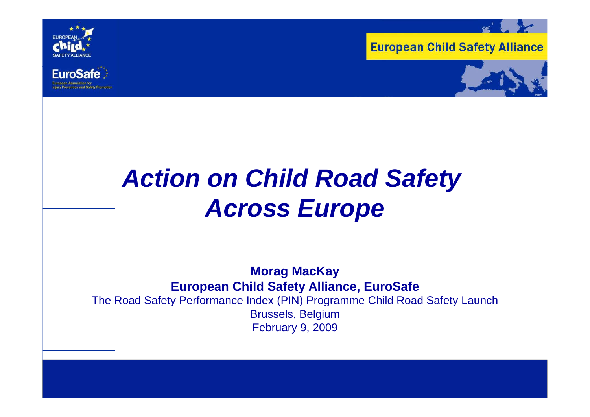

**FuroSafe** 





# *Action on Child Road Safety Across Europe*

#### **Morag MacKay European Child Safety Alliance, EuroSafe** The Road Safety Performance Index (PIN) Programme Child Road Safety Launch Brussels, Belgium February 9, 2009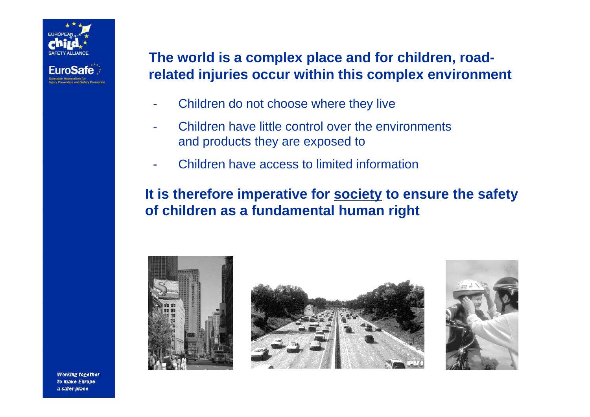

### **The world is a complex place and for children, roadrelated injuries occur within this complex environment**

- -Children do not choose where they live
- - Children have little control over the environmentsand products they are exposed to
- -- Children have access to limited information

### **It is therefore imperative for society to ensure the safety of children as <sup>a</sup> fundamental human right**





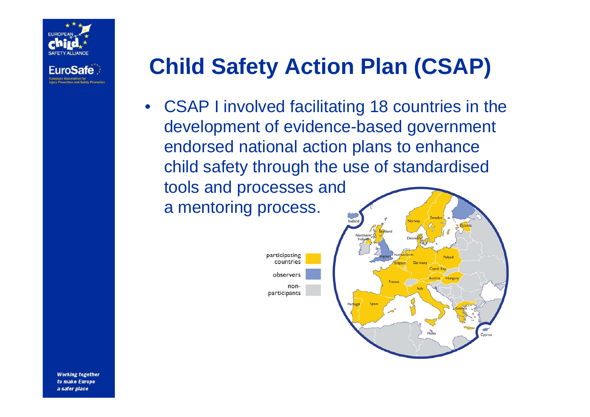

## **Child Safety Action Plan (CSAP)**

• CSAP I involved facilitatin g 18 countries in the development of evidence-based government endorsed national action plans to enhance child safety through the use of standardised tools and processes and a mentoring process.

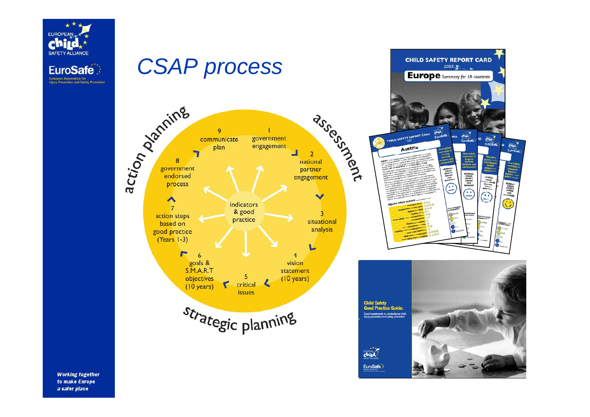

a safer place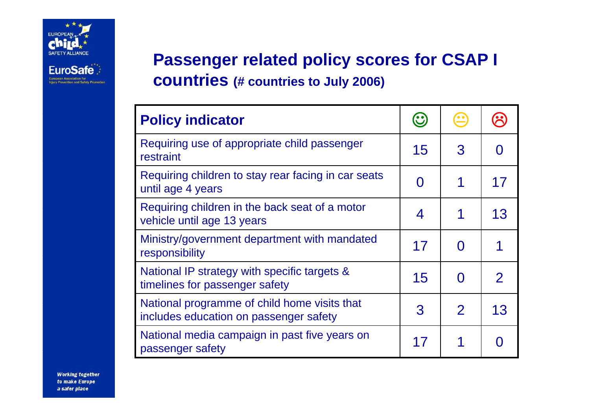

European Association for<br>Injury Prevention and Safety Pr

### **Passenger related policy scores for CSAP I countries (# countries to July 2006)**

| <b>Policy indicator</b>                                                                |    |               |    |
|----------------------------------------------------------------------------------------|----|---------------|----|
| Requiring use of appropriate child passenger<br>restraint                              | 15 | 3             |    |
| Requiring children to stay rear facing in car seats<br>until age 4 years               |    |               | 17 |
| Requiring children in the back seat of a motor<br>vehicle until age 13 years           | 4  |               | 13 |
| Ministry/government department with mandated<br>responsibility                         | 17 | O             |    |
| National IP strategy with specific targets &<br>timelines for passenger safety         | 15 |               |    |
| National programme of child home visits that<br>includes education on passenger safety | 3  | $\mathcal{P}$ | 13 |
| National media campaign in past five years on<br>passenger safety                      | 17 |               |    |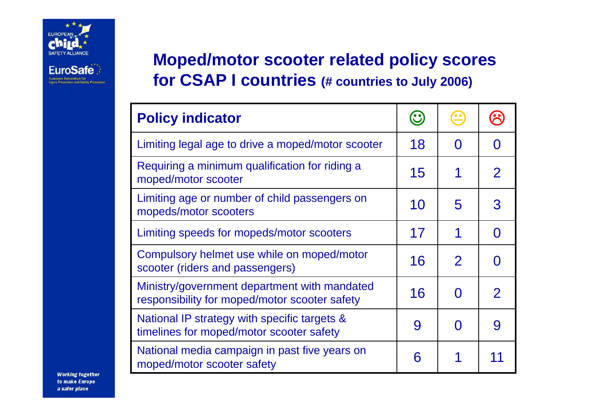

European Association for<br>Injury Prevention and Safety Pr

**Moped/motor scooter related policy scores for CSAP I countries (# countries to July 2006)**

| <b>Policy indicator</b>                                                                       |    |                |              |
|-----------------------------------------------------------------------------------------------|----|----------------|--------------|
| Limiting legal age to drive a moped/motor scooter                                             |    | O              |              |
| Requiring a minimum qualification for riding a<br>moped/motor scooter                         | 15 | 1              | $\mathcal P$ |
| Limiting age or number of child passengers on<br>mopeds/motor scooters                        | 10 | 5              |              |
| Limiting speeds for mopeds/motor scooters                                                     | 17 | 1              |              |
| Compulsory helmet use while on moped/motor<br>16<br>scooter (riders and passengers)           |    | $\overline{2}$ |              |
| Ministry/government department with mandated<br>responsibility for moped/motor scooter safety | 16 | N              | $\mathcal P$ |
| National IP strategy with specific targets &<br>9<br>timelines for moped/motor scooter safety |    | ( )            |              |
| National media campaign in past five years on<br>moped/motor scooter safety                   | 6  | 1              |              |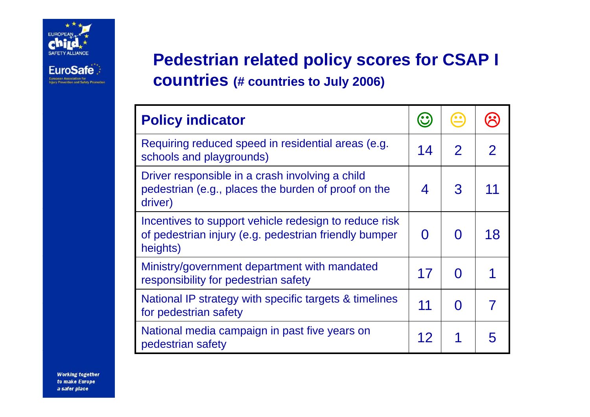

European Association for<br>Injury Prevention and Safety P

**Pedestrian related p y olic y scores for CSAP I countries (# countries to July 2006)**

| <b>Policy indicator</b>                                                                                                    |    |                |              |
|----------------------------------------------------------------------------------------------------------------------------|----|----------------|--------------|
| Requiring reduced speed in residential areas (e.g.<br>schools and playgrounds)                                             | 14 | $\overline{2}$ | $\mathbf{2}$ |
| Driver responsible in a crash involving a child<br>pedestrian (e.g., places the burden of proof on the<br>driver)          | 4  | 3              | 11           |
| Incentives to support vehicle redesign to reduce risk<br>of pedestrian injury (e.g. pedestrian friendly bumper<br>heights) | O  | O              | 18           |
| Ministry/government department with mandated<br>responsibility for pedestrian safety                                       | 17 | O              |              |
| National IP strategy with specific targets & timelines<br>for pedestrian safety                                            | 11 | $\Omega$       | 7            |
| National media campaign in past five years on<br>pedestrian safety                                                         | 12 |                | 5            |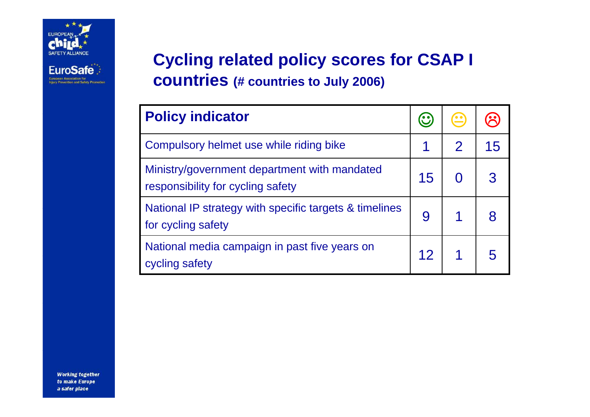

European Association for<br>Injury Prevention and Safety Promotion

**Cycling related policy scores for CSAP I countries (# countries to July 2006)**

| <b>Policy indicator</b>                                                           | $\mathbf{C}$    |                |    |
|-----------------------------------------------------------------------------------|-----------------|----------------|----|
| Compulsory helmet use while riding bike                                           |                 | $\overline{2}$ | 15 |
| Ministry/government department with mandated<br>responsibility for cycling safety | 15              |                |    |
| National IP strategy with specific targets & timelines<br>for cycling safety      | 9               |                |    |
| National media campaign in past five years on<br>cycling safety                   | 12 <sup>7</sup> | 1              |    |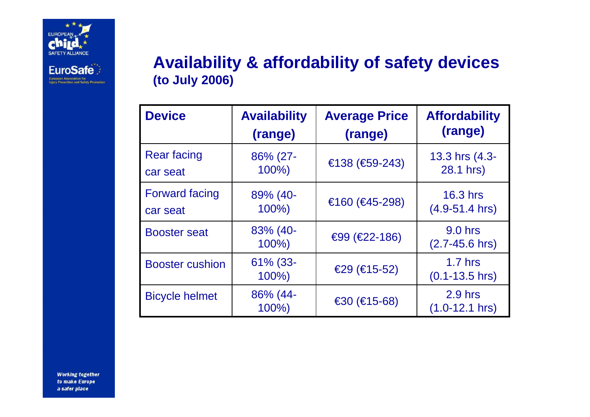

**EuroSafe** European Association for<br>Injury Prevention and Safety Pr

### **Availability & affordability of safety devices (to July 2006)**

| <b>Device</b>          | <b>Availability</b>    | <b>Average Price</b> | <b>Affordability</b>             |
|------------------------|------------------------|----------------------|----------------------------------|
|                        | (range)                | (range)              | (range)                          |
| <b>Rear facing</b>     | 86% (27-               | €138 (€59-243)       | 13.3 hrs (4.3-                   |
| car seat               | 100%)                  |                      | 28.1 hrs)                        |
| <b>Forward facing</b>  | 89% (40-               | €160 (€45-298)       | <b>16.3 hrs</b>                  |
| car seat               | $100\%$                |                      | $(4.9 - 51.4$ hrs)               |
| <b>Booster seat</b>    | 83% (40-<br>$100\%$    | €99 (€22-186)        | 9.0 hrs<br>$(2.7 - 45.6)$ hrs)   |
| <b>Booster cushion</b> | $61\%$ (33-<br>$100\%$ | $€29$ (€15-52)       | $1.7$ hrs<br>$(0.1 - 13.5)$ hrs) |
| <b>Bicycle helmet</b>  | 86% (44-<br>$100\%$    | €30 $(€15-68)$       | $2.9$ hrs<br>$(1.0-12.1$ hrs)    |